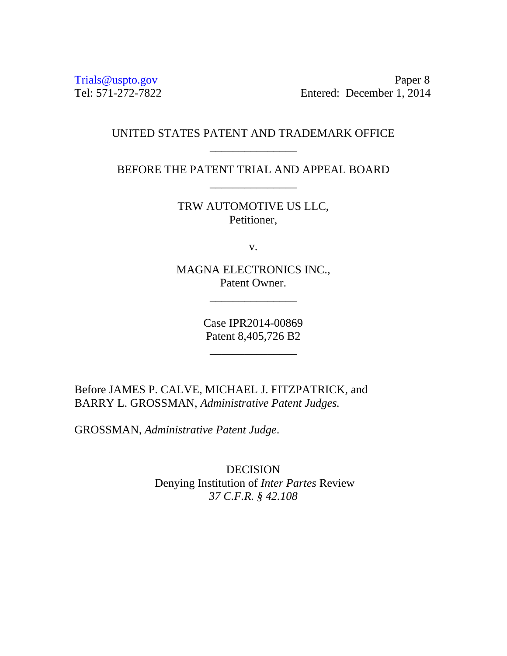Trials@uspto.gov<br>Tel: 571-272-7822 Paper 8<br>Entered: December 1, 2014 Entered: December 1, 2014

## UNITED STATES PATENT AND TRADEMARK OFFICE \_\_\_\_\_\_\_\_\_\_\_\_\_\_\_

BEFORE THE PATENT TRIAL AND APPEAL BOARD

TRW AUTOMOTIVE US LLC, Petitioner,

v.

MAGNA ELECTRONICS INC., Patent Owner.

\_\_\_\_\_\_\_\_\_\_\_\_\_\_\_

Case IPR2014-00869 Patent 8,405,726 B2

\_\_\_\_\_\_\_\_\_\_\_\_\_\_\_

Before JAMES P. CALVE, MICHAEL J. FITZPATRICK, and BARRY L. GROSSMAN, *Administrative Patent Judges.* 

GROSSMAN, *Administrative Patent Judge*.

 $\overline{\phantom{a}}$  , and the contract of the contract of the contract of the contract of the contract of the contract of the contract of the contract of the contract of the contract of the contract of the contract of the contrac

DECISION Denying Institution of *Inter Partes* Review *37 C.F.R. § 42.108*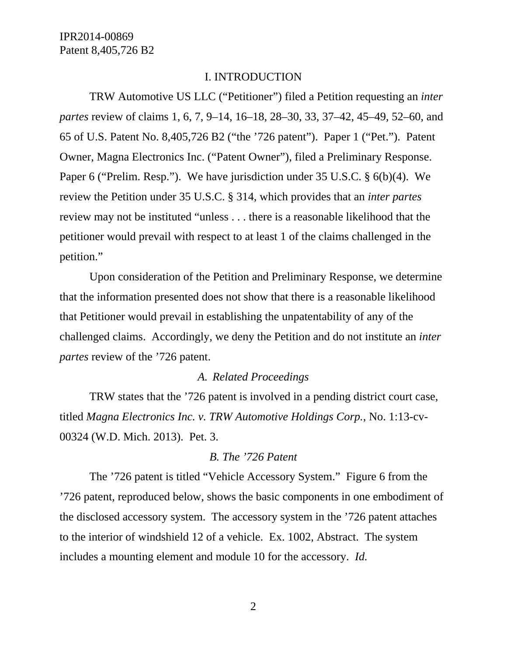#### I. INTRODUCTION

TRW Automotive US LLC ("Petitioner") filed a Petition requesting an *inter partes* review of claims 1, 6, 7, 9–14, 16–18, 28–30, 33, 37–42, 45–49, 52–60, and 65 of U.S. Patent No. 8,405,726 B2 ("the '726 patent"). Paper 1 ("Pet."). Patent Owner, Magna Electronics Inc. ("Patent Owner"), filed a Preliminary Response. Paper 6 ("Prelim. Resp."). We have jurisdiction under 35 U.S.C. § 6(b)(4). We review the Petition under 35 U.S.C. § 314, which provides that an *inter partes*  review may not be instituted "unless . . . there is a reasonable likelihood that the petitioner would prevail with respect to at least 1 of the claims challenged in the petition."

Upon consideration of the Petition and Preliminary Response, we determine that the information presented does not show that there is a reasonable likelihood that Petitioner would prevail in establishing the unpatentability of any of the challenged claims. Accordingly, we deny the Petition and do not institute an *inter partes* review of the '726 patent.

#### *A. Related Proceedings*

TRW states that the '726 patent is involved in a pending district court case, titled *Magna Electronics Inc. v. TRW Automotive Holdings Corp.*, No. 1:13-cv-00324 (W.D. Mich. 2013). Pet. 3.

#### *B. The '726 Patent*

The '726 patent is titled "Vehicle Accessory System." Figure 6 from the '726 patent, reproduced below, shows the basic components in one embodiment of the disclosed accessory system. The accessory system in the '726 patent attaches to the interior of windshield 12 of a vehicle. Ex. 1002, Abstract. The system includes a mounting element and module 10 for the accessory. *Id.*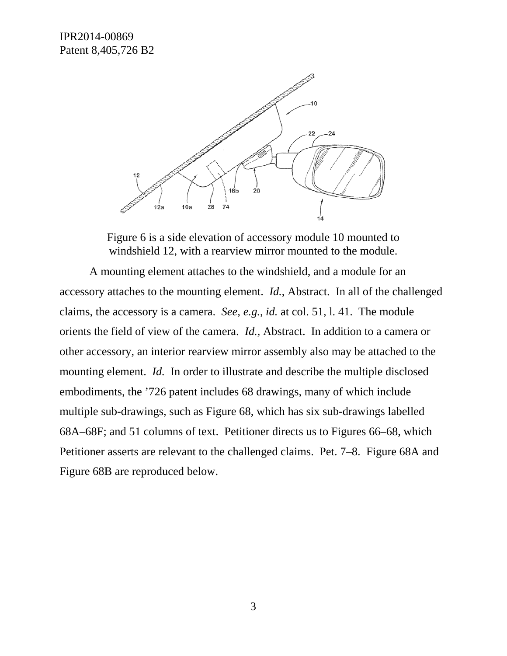

Figure 6 is a side elevation of accessory module 10 mounted to windshield 12, with a rearview mirror mounted to the module.

A mounting element attaches to the windshield, and a module for an accessory attaches to the mounting element. *Id.*, Abstract. In all of the challenged claims, the accessory is a camera. *See, e.g.*, *id.* at col. 51, l. 41. The module orients the field of view of the camera. *Id.*, Abstract. In addition to a camera or other accessory, an interior rearview mirror assembly also may be attached to the mounting element. *Id.* In order to illustrate and describe the multiple disclosed embodiments, the '726 patent includes 68 drawings, many of which include multiple sub-drawings, such as Figure 68, which has six sub-drawings labelled 68A–68F; and 51 columns of text. Petitioner directs us to Figures 66–68, which Petitioner asserts are relevant to the challenged claims. Pet. 7–8. Figure 68A and Figure 68B are reproduced below.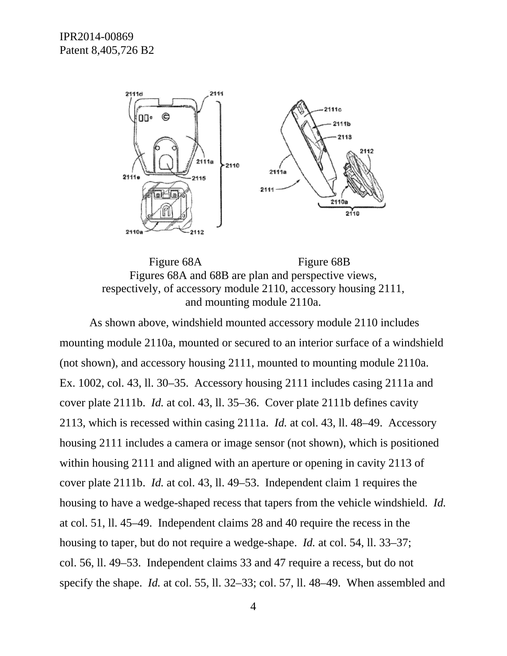

Figure 68A Figure 68B Figures 68A and 68B are plan and perspective views, respectively, of accessory module 2110, accessory housing 2111, and mounting module 2110a.

As shown above, windshield mounted accessory module 2110 includes mounting module 2110a, mounted or secured to an interior surface of a windshield (not shown), and accessory housing 2111, mounted to mounting module 2110a. Ex. 1002, col. 43, ll. 30–35. Accessory housing 2111 includes casing 2111a and cover plate 2111b. *Id.* at col. 43, ll. 35–36. Cover plate 2111b defines cavity 2113, which is recessed within casing 2111a. *Id.* at col. 43, ll. 48–49. Accessory housing 2111 includes a camera or image sensor (not shown), which is positioned within housing 2111 and aligned with an aperture or opening in cavity 2113 of cover plate 2111b. *Id.* at col. 43, ll. 49–53. Independent claim 1 requires the housing to have a wedge-shaped recess that tapers from the vehicle windshield. *Id.* at col. 51, ll. 45–49. Independent claims 28 and 40 require the recess in the housing to taper, but do not require a wedge-shape. *Id.* at col. 54, ll. 33–37; col. 56, ll. 49–53. Independent claims 33 and 47 require a recess, but do not specify the shape. *Id.* at col. 55, ll. 32–33; col. 57, ll. 48–49. When assembled and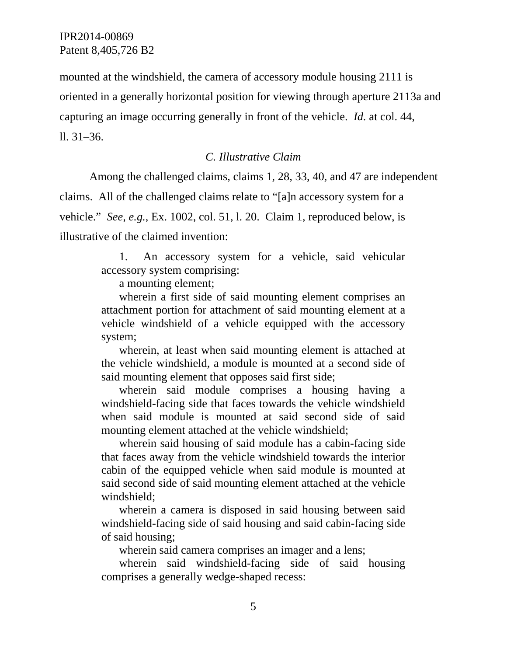mounted at the windshield, the camera of accessory module housing 2111 is oriented in a generally horizontal position for viewing through aperture 2113a and capturing an image occurring generally in front of the vehicle. *Id.* at col. 44, ll. 31–36.

## *C. Illustrative Claim*

Among the challenged claims, claims 1, 28, 33, 40, and 47 are independent claims. All of the challenged claims relate to "[a]n accessory system for a vehicle." *See, e.g.*, Ex. 1002, col. 51, l. 20. Claim 1, reproduced below, is illustrative of the claimed invention:

> 1. An accessory system for a vehicle, said vehicular accessory system comprising:

a mounting element;

 wherein a first side of said mounting element comprises an attachment portion for attachment of said mounting element at a vehicle windshield of a vehicle equipped with the accessory system;

 wherein, at least when said mounting element is attached at the vehicle windshield, a module is mounted at a second side of said mounting element that opposes said first side;

 wherein said module comprises a housing having a windshield-facing side that faces towards the vehicle windshield when said module is mounted at said second side of said mounting element attached at the vehicle windshield;

 wherein said housing of said module has a cabin-facing side that faces away from the vehicle windshield towards the interior cabin of the equipped vehicle when said module is mounted at said second side of said mounting element attached at the vehicle windshield;

 wherein a camera is disposed in said housing between said windshield-facing side of said housing and said cabin-facing side of said housing;

wherein said camera comprises an imager and a lens;

 wherein said windshield-facing side of said housing comprises a generally wedge-shaped recess: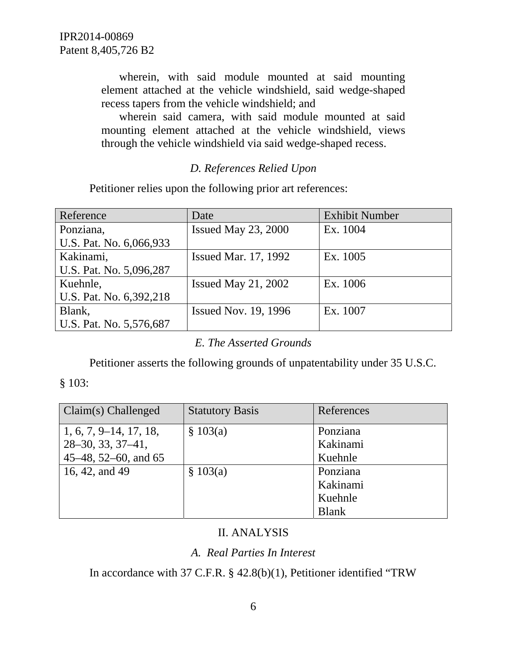wherein, with said module mounted at said mounting element attached at the vehicle windshield, said wedge-shaped recess tapers from the vehicle windshield; and

 wherein said camera, with said module mounted at said mounting element attached at the vehicle windshield, views through the vehicle windshield via said wedge-shaped recess.

# *D. References Relied Upon*

Petitioner relies upon the following prior art references:

| Reference               | Date                        | <b>Exhibit Number</b> |
|-------------------------|-----------------------------|-----------------------|
| Ponziana,               | Issued May $23, 2000$       | Ex. 1004              |
| U.S. Pat. No. 6,066,933 |                             |                       |
| Kakinami,               | <b>Issued Mar. 17, 1992</b> | Ex. 1005              |
| U.S. Pat. No. 5,096,287 |                             |                       |
| Kuehnle,                | Issued May 21, $2002$       | Ex. 1006              |
| U.S. Pat. No. 6,392,218 |                             |                       |
| Blank,                  | <b>Issued Nov. 19, 1996</b> | Ex. 1007              |
| U.S. Pat. No. 5,576,687 |                             |                       |

## *E. The Asserted Grounds*

Petitioner asserts the following grounds of unpatentability under 35 U.S.C.

### § 103:

| Claim(s) Challenged      | <b>Statutory Basis</b> | References   |
|--------------------------|------------------------|--------------|
| $1, 6, 7, 9-14, 17, 18,$ | \$103(a)               | Ponziana     |
| $28-30, 33, 37-41,$      |                        | Kakinami     |
| 45–48, 52–60, and 65     |                        | Kuehnle      |
| 16, 42, and 49           | \$103(a)               | Ponziana     |
|                          |                        | Kakinami     |
|                          |                        | Kuehnle      |
|                          |                        | <b>Blank</b> |

## II. ANALYSIS

## *A. Real Parties In Interest*

In accordance with 37 C.F.R. § 42.8(b)(1), Petitioner identified "TRW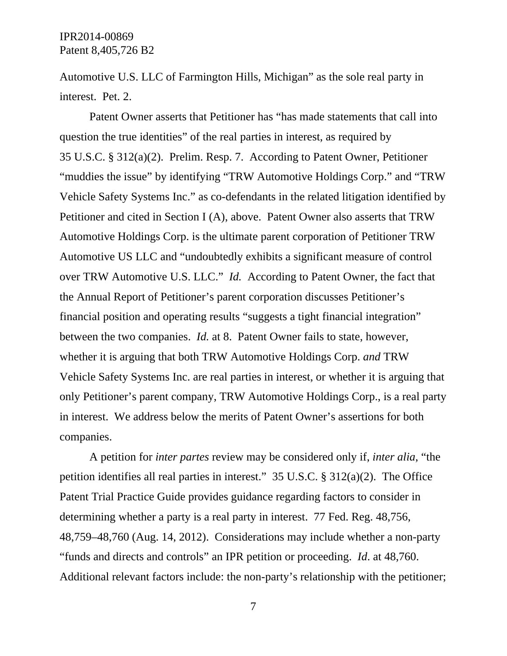Automotive U.S. LLC of Farmington Hills, Michigan" as the sole real party in interest. Pet. 2.

Patent Owner asserts that Petitioner has "has made statements that call into question the true identities" of the real parties in interest, as required by 35 U.S.C. § 312(a)(2). Prelim. Resp. 7. According to Patent Owner, Petitioner "muddies the issue" by identifying "TRW Automotive Holdings Corp." and "TRW Vehicle Safety Systems Inc." as co-defendants in the related litigation identified by Petitioner and cited in Section I (A), above. Patent Owner also asserts that TRW Automotive Holdings Corp. is the ultimate parent corporation of Petitioner TRW Automotive US LLC and "undoubtedly exhibits a significant measure of control over TRW Automotive U.S. LLC." *Id.* According to Patent Owner, the fact that the Annual Report of Petitioner's parent corporation discusses Petitioner's financial position and operating results "suggests a tight financial integration" between the two companies. *Id.* at 8. Patent Owner fails to state, however, whether it is arguing that both TRW Automotive Holdings Corp. *and* TRW Vehicle Safety Systems Inc. are real parties in interest, or whether it is arguing that only Petitioner's parent company, TRW Automotive Holdings Corp., is a real party in interest. We address below the merits of Patent Owner's assertions for both companies.

A petition for *inter partes* review may be considered only if, *inter alia*, "the petition identifies all real parties in interest." 35 U.S.C. § 312(a)(2). The Office Patent Trial Practice Guide provides guidance regarding factors to consider in determining whether a party is a real party in interest. 77 Fed. Reg. 48,756, 48,759–48,760 (Aug. 14, 2012). Considerations may include whether a non-party "funds and directs and controls" an IPR petition or proceeding. *Id*. at 48,760. Additional relevant factors include: the non-party's relationship with the petitioner;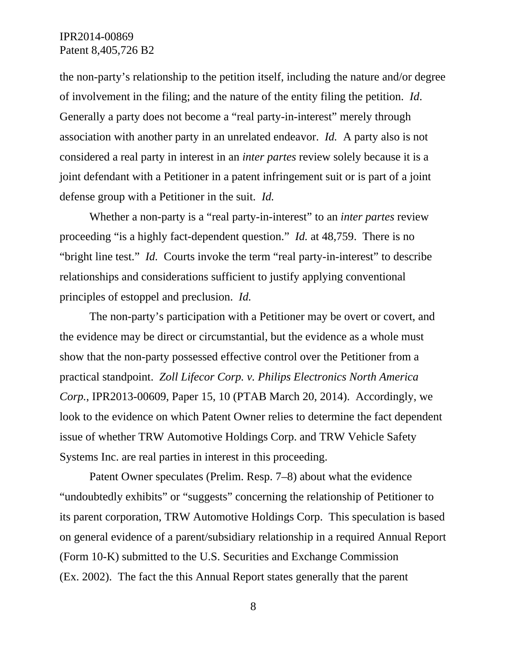the non-party's relationship to the petition itself, including the nature and/or degree of involvement in the filing; and the nature of the entity filing the petition. *Id*. Generally a party does not become a "real party-in-interest" merely through association with another party in an unrelated endeavor. *Id.* A party also is not considered a real party in interest in an *inter partes* review solely because it is a joint defendant with a Petitioner in a patent infringement suit or is part of a joint defense group with a Petitioner in the suit. *Id.*

Whether a non-party is a "real party-in-interest" to an *inter partes* review proceeding "is a highly fact-dependent question." *Id.* at 48,759. There is no "bright line test." *Id.* Courts invoke the term "real party-in-interest" to describe relationships and considerations sufficient to justify applying conventional principles of estoppel and preclusion. *Id.* 

The non-party's participation with a Petitioner may be overt or covert, and the evidence may be direct or circumstantial, but the evidence as a whole must show that the non-party possessed effective control over the Petitioner from a practical standpoint. *Zoll Lifecor Corp. v. Philips Electronics North America Corp.*, IPR2013-00609, Paper 15, 10 (PTAB March 20, 2014). Accordingly, we look to the evidence on which Patent Owner relies to determine the fact dependent issue of whether TRW Automotive Holdings Corp. and TRW Vehicle Safety Systems Inc. are real parties in interest in this proceeding.

Patent Owner speculates (Prelim. Resp. 7–8) about what the evidence "undoubtedly exhibits" or "suggests" concerning the relationship of Petitioner to its parent corporation, TRW Automotive Holdings Corp. This speculation is based on general evidence of a parent/subsidiary relationship in a required Annual Report (Form 10-K) submitted to the U.S. Securities and Exchange Commission (Ex. 2002). The fact the this Annual Report states generally that the parent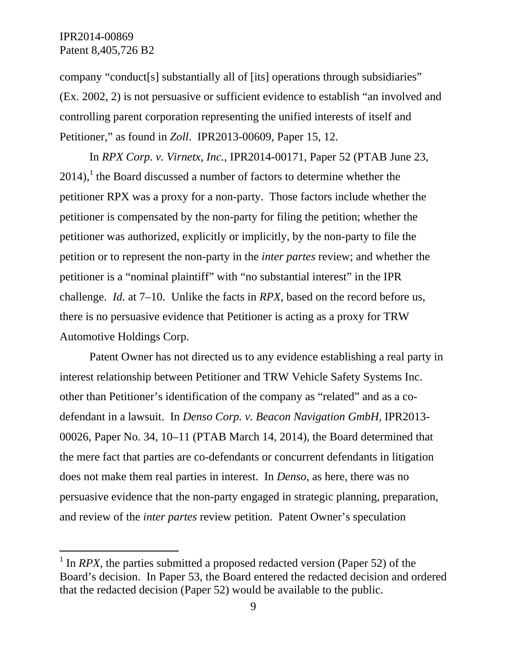-

company "conduct[s] substantially all of [its] operations through subsidiaries" (Ex. 2002, 2) is not persuasive or sufficient evidence to establish "an involved and controlling parent corporation representing the unified interests of itself and Petitioner," as found in *Zoll*. IPR2013-00609, Paper 15, 12.

In *RPX Corp. v. Virnetx, Inc.*, IPR2014-00171, Paper 52 (PTAB June 23,  $2014$ ,<sup>1</sup> the Board discussed a number of factors to determine whether the petitioner RPX was a proxy for a non-party. Those factors include whether the petitioner is compensated by the non-party for filing the petition; whether the petitioner was authorized, explicitly or implicitly, by the non-party to file the petition or to represent the non-party in the *inter partes* review; and whether the petitioner is a "nominal plaintiff" with "no substantial interest" in the IPR challenge. *Id.* at 7–10. Unlike the facts in *RPX*, based on the record before us, there is no persuasive evidence that Petitioner is acting as a proxy for TRW Automotive Holdings Corp.

Patent Owner has not directed us to any evidence establishing a real party in interest relationship between Petitioner and TRW Vehicle Safety Systems Inc. other than Petitioner's identification of the company as "related" and as a codefendant in a lawsuit. In *Denso Corp. v. Beacon Navigation GmbH*, IPR2013- 00026, Paper No. 34, 10–11 (PTAB March 14, 2014), the Board determined that the mere fact that parties are co-defendants or concurrent defendants in litigation does not make them real parties in interest. In *Denso*, as here, there was no persuasive evidence that the non-party engaged in strategic planning, preparation, and review of the *inter partes* review petition. Patent Owner's speculation

<sup>&</sup>lt;sup>1</sup> In *RPX*, the parties submitted a proposed redacted version (Paper 52) of the Board's decision. In Paper 53, the Board entered the redacted decision and ordered that the redacted decision (Paper 52) would be available to the public.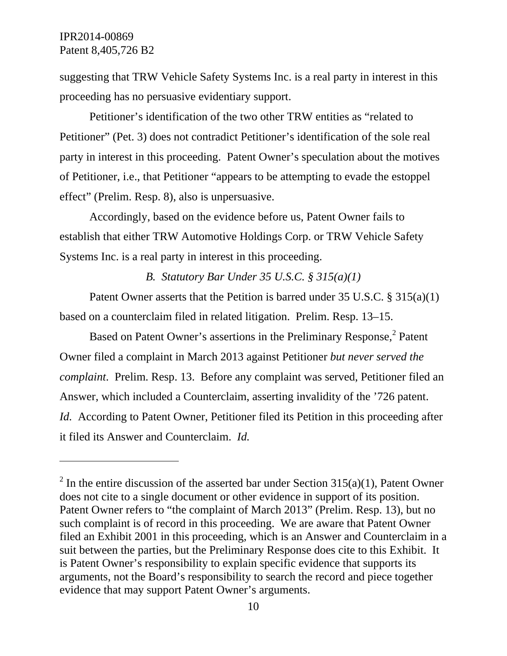-

suggesting that TRW Vehicle Safety Systems Inc. is a real party in interest in this proceeding has no persuasive evidentiary support.

Petitioner's identification of the two other TRW entities as "related to Petitioner" (Pet. 3) does not contradict Petitioner's identification of the sole real party in interest in this proceeding. Patent Owner's speculation about the motives of Petitioner, i.e., that Petitioner "appears to be attempting to evade the estoppel effect" (Prelim. Resp. 8), also is unpersuasive.

Accordingly, based on the evidence before us, Patent Owner fails to establish that either TRW Automotive Holdings Corp. or TRW Vehicle Safety Systems Inc. is a real party in interest in this proceeding.

#### *B. Statutory Bar Under 35 U.S.C. § 315(a)(1)*

Patent Owner asserts that the Petition is barred under 35 U.S.C. § 315(a)(1) based on a counterclaim filed in related litigation. Prelim. Resp. 13–15.

Based on Patent Owner's assertions in the Preliminary Response,<sup>2</sup> Patent Owner filed a complaint in March 2013 against Petitioner *but never served the complaint*. Prelim. Resp. 13. Before any complaint was served, Petitioner filed an Answer, which included a Counterclaim, asserting invalidity of the '726 patent. *Id.* According to Patent Owner, Petitioner filed its Petition in this proceeding after it filed its Answer and Counterclaim. *Id.*

<sup>&</sup>lt;sup>2</sup> In the entire discussion of the asserted bar under Section 315(a)(1), Patent Owner does not cite to a single document or other evidence in support of its position. Patent Owner refers to "the complaint of March 2013" (Prelim. Resp. 13), but no such complaint is of record in this proceeding. We are aware that Patent Owner filed an Exhibit 2001 in this proceeding, which is an Answer and Counterclaim in a suit between the parties, but the Preliminary Response does cite to this Exhibit. It is Patent Owner's responsibility to explain specific evidence that supports its arguments, not the Board's responsibility to search the record and piece together evidence that may support Patent Owner's arguments.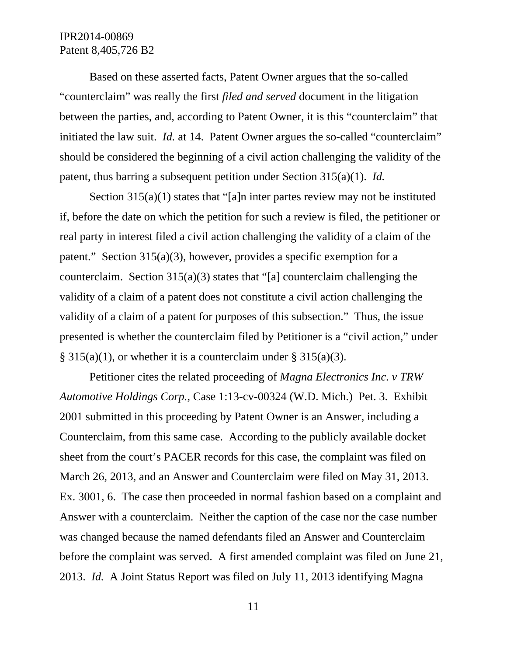Based on these asserted facts, Patent Owner argues that the so-called "counterclaim" was really the first *filed and served* document in the litigation between the parties, and, according to Patent Owner, it is this "counterclaim" that initiated the law suit. *Id.* at 14. Patent Owner argues the so-called "counterclaim" should be considered the beginning of a civil action challenging the validity of the patent, thus barring a subsequent petition under Section 315(a)(1). *Id.*

Section 315(a)(1) states that "[a]n inter partes review may not be instituted if, before the date on which the petition for such a review is filed, the petitioner or real party in interest filed a civil action challenging the validity of a claim of the patent." Section 315(a)(3), however, provides a specific exemption for a counterclaim. Section 315(a)(3) states that "[a] counterclaim challenging the validity of a claim of a patent does not constitute a civil action challenging the validity of a claim of a patent for purposes of this subsection." Thus, the issue presented is whether the counterclaim filed by Petitioner is a "civil action," under  $\S 315(a)(1)$ , or whether it is a counterclaim under  $\S 315(a)(3)$ .

Petitioner cites the related proceeding of *Magna Electronics Inc. v TRW Automotive Holdings Corp.*, Case 1:13-cv-00324 (W.D. Mich.) Pet. 3. Exhibit 2001 submitted in this proceeding by Patent Owner is an Answer, including a Counterclaim, from this same case. According to the publicly available docket sheet from the court's PACER records for this case, the complaint was filed on March 26, 2013, and an Answer and Counterclaim were filed on May 31, 2013. Ex. 3001, 6. The case then proceeded in normal fashion based on a complaint and Answer with a counterclaim. Neither the caption of the case nor the case number was changed because the named defendants filed an Answer and Counterclaim before the complaint was served. A first amended complaint was filed on June 21, 2013. *Id.* A Joint Status Report was filed on July 11, 2013 identifying Magna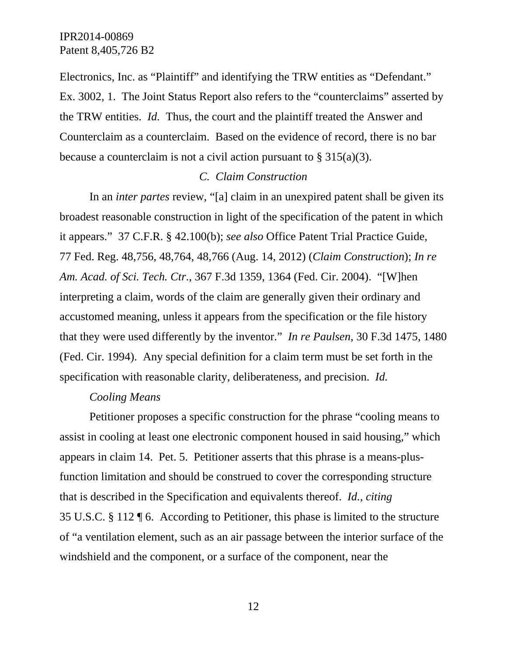Electronics, Inc. as "Plaintiff" and identifying the TRW entities as "Defendant." Ex. 3002, 1. The Joint Status Report also refers to the "counterclaims" asserted by the TRW entities. *Id.* Thus, the court and the plaintiff treated the Answer and Counterclaim as a counterclaim. Based on the evidence of record, there is no bar because a counterclaim is not a civil action pursuant to  $\S 315(a)(3)$ .

#### *C. Claim Construction*

In an *inter partes* review, "[a] claim in an unexpired patent shall be given its broadest reasonable construction in light of the specification of the patent in which it appears." 37 C.F.R. § 42.100(b); *see also* Office Patent Trial Practice Guide, 77 Fed. Reg. 48,756, 48,764, 48,766 (Aug. 14, 2012) (*Claim Construction*); *In re Am. Acad. of Sci. Tech. Ctr*., 367 F.3d 1359, 1364 (Fed. Cir. 2004). "[W]hen interpreting a claim, words of the claim are generally given their ordinary and accustomed meaning, unless it appears from the specification or the file history that they were used differently by the inventor." *In re Paulsen*, 30 F.3d 1475, 1480 (Fed. Cir. 1994). Any special definition for a claim term must be set forth in the specification with reasonable clarity, deliberateness, and precision. *Id.*

#### *Cooling Means*

Petitioner proposes a specific construction for the phrase "cooling means to assist in cooling at least one electronic component housed in said housing," which appears in claim 14. Pet. 5. Petitioner asserts that this phrase is a means-plusfunction limitation and should be construed to cover the corresponding structure that is described in the Specification and equivalents thereof. *Id.*, *citing*  35 U.S.C. § 112 ¶ 6. According to Petitioner, this phase is limited to the structure of "a ventilation element, such as an air passage between the interior surface of the windshield and the component, or a surface of the component, near the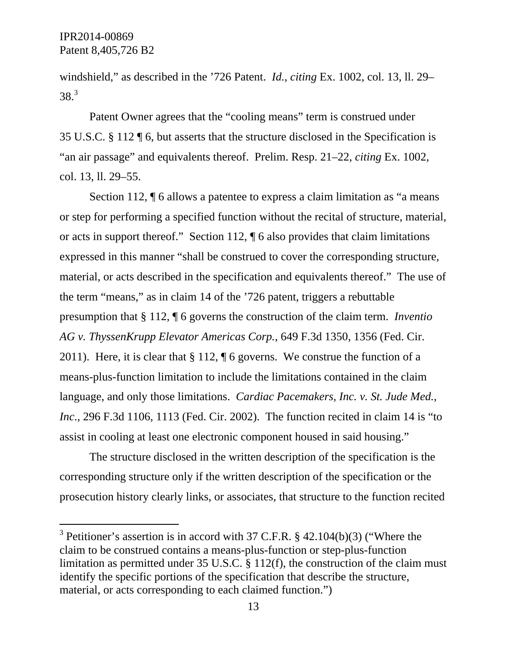$\overline{a}$ 

windshield," as described in the '726 Patent. *Id.*, *citing* Ex. 1002, col. 13, ll. 29–  $38.<sup>3</sup>$ 

Patent Owner agrees that the "cooling means" term is construed under 35 U.S.C. § 112 ¶ 6, but asserts that the structure disclosed in the Specification is "an air passage" and equivalents thereof. Prelim. Resp. 21–22, *citing* Ex. 1002, col. 13, ll. 29–55.

Section 112,  $\P$  6 allows a patentee to express a claim limitation as "a means" or step for performing a specified function without the recital of structure, material, or acts in support thereof." Section 112, ¶ 6 also provides that claim limitations expressed in this manner "shall be construed to cover the corresponding structure, material, or acts described in the specification and equivalents thereof." The use of the term "means," as in claim 14 of the '726 patent, triggers a rebuttable presumption that § 112, ¶ 6 governs the construction of the claim term. *Inventio AG v. ThyssenKrupp Elevator Americas Corp.*, 649 F.3d 1350, 1356 (Fed. Cir. 2011). Here, it is clear that § 112, ¶ 6 governs. We construe the function of a means-plus-function limitation to include the limitations contained in the claim language, and only those limitations. *Cardiac Pacemakers, Inc. v. St. Jude Med., Inc*., 296 F.3d 1106, 1113 (Fed. Cir. 2002). The function recited in claim 14 is "to assist in cooling at least one electronic component housed in said housing."

The structure disclosed in the written description of the specification is the corresponding structure only if the written description of the specification or the prosecution history clearly links, or associates, that structure to the function recited

<sup>&</sup>lt;sup>3</sup> Petitioner's assertion is in accord with 37 C.F.R.  $\S$  42.104(b)(3) ("Where the claim to be construed contains a means-plus-function or step-plus-function limitation as permitted under 35 U.S.C. § 112(f), the construction of the claim must identify the specific portions of the specification that describe the structure, material, or acts corresponding to each claimed function.")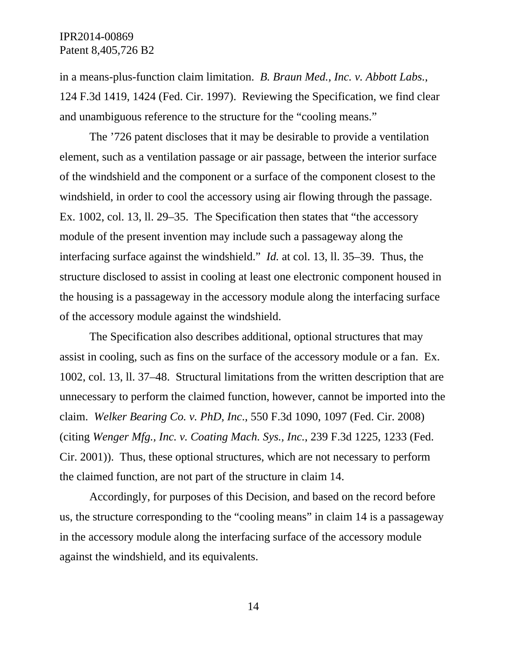in a means-plus-function claim limitation. *B. Braun Med., Inc. v. Abbott Labs.*, 124 F.3d 1419, 1424 (Fed. Cir. 1997). Reviewing the Specification, we find clear and unambiguous reference to the structure for the "cooling means."

The '726 patent discloses that it may be desirable to provide a ventilation element, such as a ventilation passage or air passage, between the interior surface of the windshield and the component or a surface of the component closest to the windshield, in order to cool the accessory using air flowing through the passage. Ex. 1002, col. 13, ll. 29–35. The Specification then states that "the accessory module of the present invention may include such a passageway along the interfacing surface against the windshield." *Id.* at col. 13, ll. 35–39. Thus, the structure disclosed to assist in cooling at least one electronic component housed in the housing is a passageway in the accessory module along the interfacing surface of the accessory module against the windshield.

The Specification also describes additional, optional structures that may assist in cooling, such as fins on the surface of the accessory module or a fan. Ex. 1002, col. 13, ll. 37–48. Structural limitations from the written description that are unnecessary to perform the claimed function, however, cannot be imported into the claim. *Welker Bearing Co. v. PhD, Inc*., 550 F.3d 1090, 1097 (Fed. Cir. 2008) (citing *Wenger Mfg., Inc. v. Coating Mach. Sys., Inc.*, 239 F.3d 1225, 1233 (Fed. Cir. 2001)). Thus, these optional structures, which are not necessary to perform the claimed function, are not part of the structure in claim 14.

Accordingly, for purposes of this Decision, and based on the record before us, the structure corresponding to the "cooling means" in claim 14 is a passageway in the accessory module along the interfacing surface of the accessory module against the windshield, and its equivalents.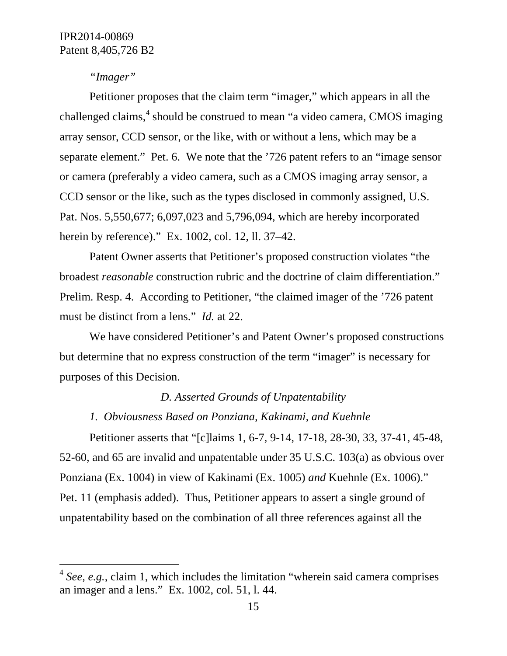### *"Imager"*

 $\overline{a}$ 

Petitioner proposes that the claim term "imager," which appears in all the challenged claims, $4$  should be construed to mean "a video camera, CMOS imaging array sensor, CCD sensor, or the like, with or without a lens, which may be a separate element." Pet. 6. We note that the '726 patent refers to an "image sensor or camera (preferably a video camera, such as a CMOS imaging array sensor, a CCD sensor or the like, such as the types disclosed in commonly assigned, U.S. Pat. Nos. 5,550,677; 6,097,023 and 5,796,094, which are hereby incorporated herein by reference)." Ex. 1002, col. 12, ll. 37–42.

Patent Owner asserts that Petitioner's proposed construction violates "the broadest *reasonable* construction rubric and the doctrine of claim differentiation." Prelim. Resp. 4. According to Petitioner, "the claimed imager of the '726 patent must be distinct from a lens." *Id.* at 22.

We have considered Petitioner's and Patent Owner's proposed constructions but determine that no express construction of the term "imager" is necessary for purposes of this Decision.

#### *D. Asserted Grounds of Unpatentability*

*1. Obviousness Based on Ponziana, Kakinami, and Kuehnle* 

Petitioner asserts that "[c]laims 1, 6-7, 9-14, 17-18, 28-30, 33, 37-41, 45-48, 52-60, and 65 are invalid and unpatentable under 35 U.S.C. 103(a) as obvious over Ponziana (Ex. 1004) in view of Kakinami (Ex. 1005) *and* Kuehnle (Ex. 1006)." Pet. 11 (emphasis added). Thus, Petitioner appears to assert a single ground of unpatentability based on the combination of all three references against all the

<sup>&</sup>lt;sup>4</sup> *See, e.g.*, claim 1, which includes the limitation "wherein said camera comprises" an imager and a lens." Ex. 1002, col. 51, l. 44.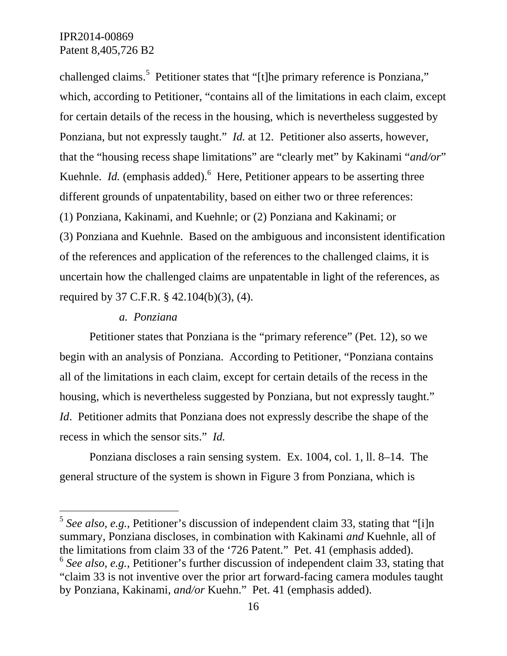challenged claims.<sup>5</sup> Petitioner states that "[t]he primary reference is Ponziana," which, according to Petitioner, "contains all of the limitations in each claim, except for certain details of the recess in the housing, which is nevertheless suggested by Ponziana, but not expressly taught." *Id.* at 12. Petitioner also asserts, however, that the "housing recess shape limitations" are "clearly met" by Kakinami "*and/or*" Kuehnle. *Id.* (emphasis added).<sup>6</sup> Here, Petitioner appears to be asserting three different grounds of unpatentability, based on either two or three references: (1) Ponziana, Kakinami, and Kuehnle; or (2) Ponziana and Kakinami; or (3) Ponziana and Kuehnle. Based on the ambiguous and inconsistent identification of the references and application of the references to the challenged claims, it is uncertain how the challenged claims are unpatentable in light of the references, as required by 37 C.F.R. § 42.104(b)(3), (4).

#### *a. Ponziana*

l

Petitioner states that Ponziana is the "primary reference" (Pet. 12), so we begin with an analysis of Ponziana. According to Petitioner, "Ponziana contains all of the limitations in each claim, except for certain details of the recess in the housing, which is nevertheless suggested by Ponziana, but not expressly taught." *Id*. Petitioner admits that Ponziana does not expressly describe the shape of the recess in which the sensor sits." *Id.* 

Ponziana discloses a rain sensing system. Ex. 1004, col. 1, ll. 8–14. The general structure of the system is shown in Figure 3 from Ponziana, which is

<sup>5</sup> *See also, e.g.*, Petitioner's discussion of independent claim 33, stating that "[i]n summary, Ponziana discloses, in combination with Kakinami *and* Kuehnle, all of the limitations from claim 33 of the '726 Patent." Pet. 41 (emphasis added). <sup>6</sup> *See also, e.g.*, Petitioner's further discussion of independent claim 33, stating that "claim 33 is not inventive over the prior art forward-facing camera modules taught by Ponziana, Kakinami, *and/or* Kuehn." Pet. 41 (emphasis added).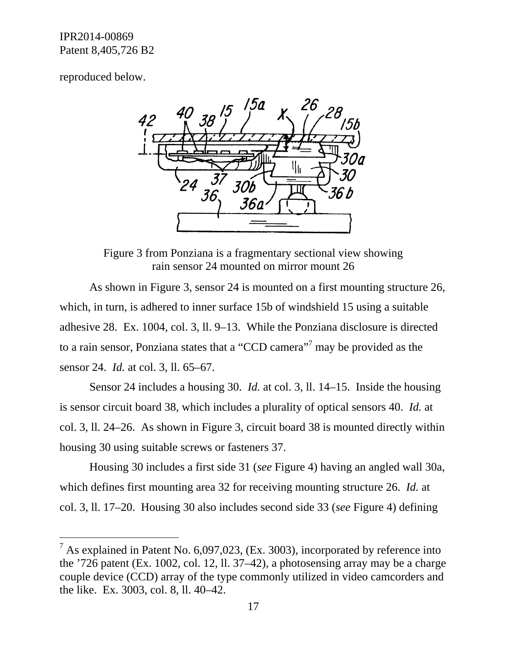reproduced below.

 $\overline{a}$ 



Figure 3 from Ponziana is a fragmentary sectional view showing rain sensor 24 mounted on mirror mount 26

As shown in Figure 3, sensor 24 is mounted on a first mounting structure 26, which, in turn, is adhered to inner surface 15b of windshield 15 using a suitable adhesive 28. Ex. 1004, col. 3, ll. 9–13. While the Ponziana disclosure is directed to a rain sensor, Ponziana states that a "CCD camera"<sup>7</sup> may be provided as the sensor 24. *Id.* at col. 3, ll. 65–67.

Sensor 24 includes a housing 30. *Id.* at col. 3, ll. 14–15. Inside the housing is sensor circuit board 38, which includes a plurality of optical sensors 40. *Id.* at col. 3, ll. 24–26. As shown in Figure 3, circuit board 38 is mounted directly within housing 30 using suitable screws or fasteners 37.

Housing 30 includes a first side 31 (*see* Figure 4) having an angled wall 30a, which defines first mounting area 32 for receiving mounting structure 26. *Id.* at col. 3, ll. 17–20. Housing 30 also includes second side 33 (*see* Figure 4) defining

<sup>&</sup>lt;sup>7</sup> As explained in Patent No. 6,097,023, (Ex. 3003), incorporated by reference into the '726 patent (Ex. 1002, col. 12, ll. 37–42), a photosensing array may be a charge couple device (CCD) array of the type commonly utilized in video camcorders and the like. Ex. 3003, col. 8, ll. 40–42.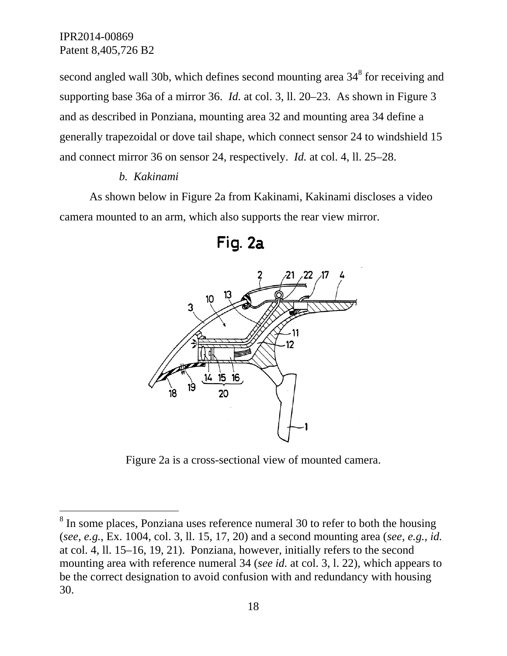$\overline{a}$ 

second angled wall 30b, which defines second mounting area  $34<sup>8</sup>$  for receiving and supporting base 36a of a mirror 36. *Id.* at col. 3, ll. 20–23. As shown in Figure 3 and as described in Ponziana, mounting area 32 and mounting area 34 define a generally trapezoidal or dove tail shape, which connect sensor 24 to windshield 15 and connect mirror 36 on sensor 24, respectively. *Id.* at col. 4, ll. 25–28.

#### *b. Kakinami*

As shown below in Figure 2a from Kakinami, Kakinami discloses a video camera mounted to an arm, which also supports the rear view mirror.



Fig. 2a

Figure 2a is a cross-sectional view of mounted camera.

 $8$  In some places, Ponziana uses reference numeral 30 to refer to both the housing (*see, e.g.*, Ex. 1004, col. 3, ll. 15, 17, 20) and a second mounting area (*see, e.g.*, *id.* at col. 4, ll. 15–16, 19, 21). Ponziana, however, initially refers to the second mounting area with reference numeral 34 (*see id.* at col. 3, l. 22), which appears to be the correct designation to avoid confusion with and redundancy with housing 30.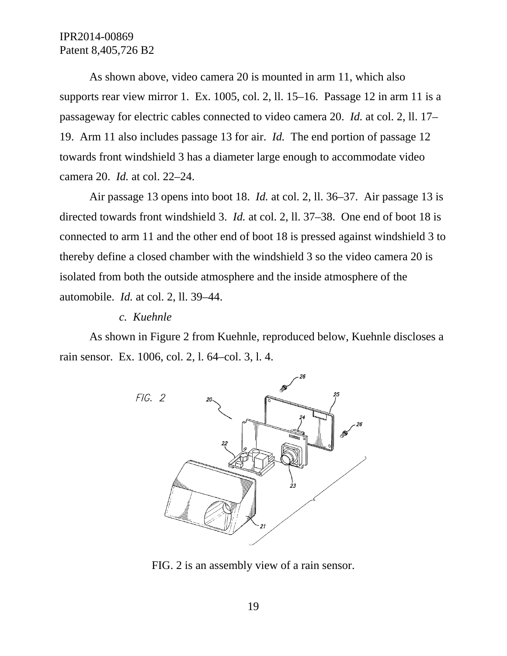As shown above, video camera 20 is mounted in arm 11, which also supports rear view mirror 1. Ex. 1005, col. 2, ll. 15–16. Passage 12 in arm 11 is a passageway for electric cables connected to video camera 20. *Id.* at col. 2, ll. 17– 19. Arm 11 also includes passage 13 for air. *Id.* The end portion of passage 12 towards front windshield 3 has a diameter large enough to accommodate video camera 20. *Id.* at col. 22–24.

Air passage 13 opens into boot 18. *Id.* at col. 2, ll. 36–37. Air passage 13 is directed towards front windshield 3. *Id.* at col. 2, ll. 37–38. One end of boot 18 is connected to arm 11 and the other end of boot 18 is pressed against windshield 3 to thereby define a closed chamber with the windshield 3 so the video camera 20 is isolated from both the outside atmosphere and the inside atmosphere of the automobile. *Id.* at col. 2, ll. 39–44.

#### *c. Kuehnle*

As shown in Figure 2 from Kuehnle, reproduced below, Kuehnle discloses a rain sensor. Ex. 1006, col. 2, l. 64–col. 3, l. 4.



FIG. 2 is an assembly view of a rain sensor.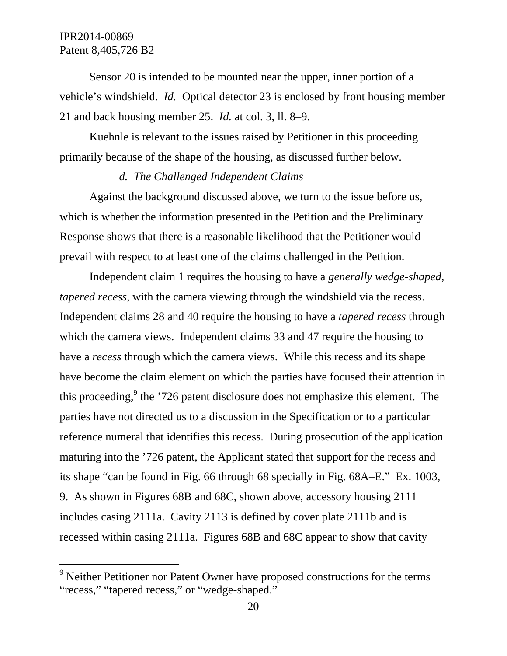$\overline{a}$ 

Sensor 20 is intended to be mounted near the upper, inner portion of a vehicle's windshield. *Id.* Optical detector 23 is enclosed by front housing member 21 and back housing member 25. *Id.* at col. 3, ll. 8–9.

Kuehnle is relevant to the issues raised by Petitioner in this proceeding primarily because of the shape of the housing, as discussed further below.

## *d. The Challenged Independent Claims*

Against the background discussed above, we turn to the issue before us, which is whether the information presented in the Petition and the Preliminary Response shows that there is a reasonable likelihood that the Petitioner would prevail with respect to at least one of the claims challenged in the Petition.

Independent claim 1 requires the housing to have a *generally wedge-shaped, tapered recess*, with the camera viewing through the windshield via the recess. Independent claims 28 and 40 require the housing to have a *tapered recess* through which the camera views. Independent claims 33 and 47 require the housing to have a *recess* through which the camera views. While this recess and its shape have become the claim element on which the parties have focused their attention in this proceeding,  $9$  the '726 patent disclosure does not emphasize this element. The parties have not directed us to a discussion in the Specification or to a particular reference numeral that identifies this recess. During prosecution of the application maturing into the '726 patent, the Applicant stated that support for the recess and its shape "can be found in Fig. 66 through 68 specially in Fig. 68A–E." Ex. 1003, 9. As shown in Figures 68B and 68C, shown above, accessory housing 2111 includes casing 2111a. Cavity 2113 is defined by cover plate 2111b and is recessed within casing 2111a. Figures 68B and 68C appear to show that cavity

<sup>&</sup>lt;sup>9</sup> Neither Petitioner nor Patent Owner have proposed constructions for the terms "recess," "tapered recess," or "wedge-shaped."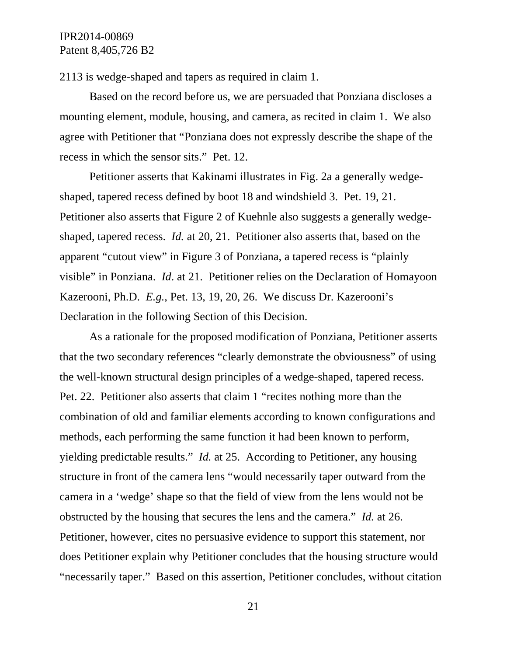2113 is wedge-shaped and tapers as required in claim 1.

Based on the record before us, we are persuaded that Ponziana discloses a mounting element, module, housing, and camera, as recited in claim 1. We also agree with Petitioner that "Ponziana does not expressly describe the shape of the recess in which the sensor sits." Pet. 12.

Petitioner asserts that Kakinami illustrates in Fig. 2a a generally wedgeshaped, tapered recess defined by boot 18 and windshield 3. Pet. 19, 21. Petitioner also asserts that Figure 2 of Kuehnle also suggests a generally wedgeshaped, tapered recess. *Id.* at 20, 21. Petitioner also asserts that, based on the apparent "cutout view" in Figure 3 of Ponziana, a tapered recess is "plainly visible" in Ponziana. *Id*. at 21. Petitioner relies on the Declaration of Homayoon Kazerooni, Ph.D. *E.g.*, Pet. 13, 19, 20, 26. We discuss Dr. Kazerooni's Declaration in the following Section of this Decision.

As a rationale for the proposed modification of Ponziana, Petitioner asserts that the two secondary references "clearly demonstrate the obviousness" of using the well-known structural design principles of a wedge-shaped, tapered recess. Pet. 22. Petitioner also asserts that claim 1 "recites nothing more than the combination of old and familiar elements according to known configurations and methods, each performing the same function it had been known to perform, yielding predictable results." *Id.* at 25. According to Petitioner, any housing structure in front of the camera lens "would necessarily taper outward from the camera in a 'wedge' shape so that the field of view from the lens would not be obstructed by the housing that secures the lens and the camera." *Id.* at 26. Petitioner, however, cites no persuasive evidence to support this statement, nor does Petitioner explain why Petitioner concludes that the housing structure would "necessarily taper." Based on this assertion, Petitioner concludes, without citation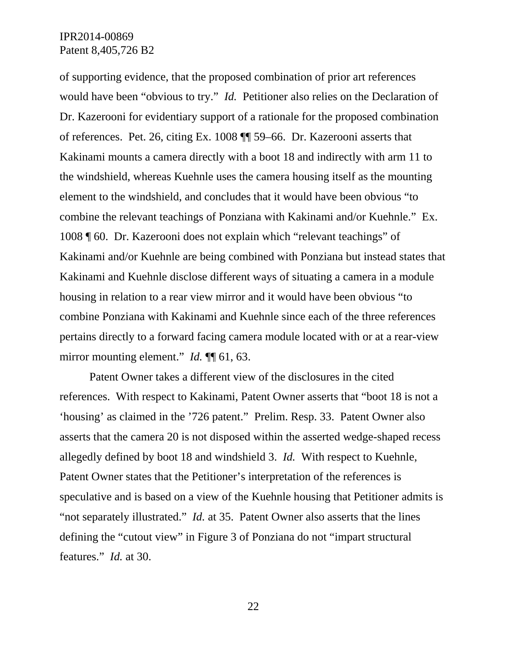of supporting evidence, that the proposed combination of prior art references would have been "obvious to try." *Id.* Petitioner also relies on the Declaration of Dr. Kazerooni for evidentiary support of a rationale for the proposed combination of references. Pet. 26, citing Ex. 1008 ¶¶ 59–66. Dr. Kazerooni asserts that Kakinami mounts a camera directly with a boot 18 and indirectly with arm 11 to the windshield, whereas Kuehnle uses the camera housing itself as the mounting element to the windshield, and concludes that it would have been obvious "to combine the relevant teachings of Ponziana with Kakinami and/or Kuehnle." Ex. 1008 ¶ 60. Dr. Kazerooni does not explain which "relevant teachings" of Kakinami and/or Kuehnle are being combined with Ponziana but instead states that Kakinami and Kuehnle disclose different ways of situating a camera in a module housing in relation to a rear view mirror and it would have been obvious "to combine Ponziana with Kakinami and Kuehnle since each of the three references pertains directly to a forward facing camera module located with or at a rear-view mirror mounting element." *Id.*  $\P\P$  61, 63.

Patent Owner takes a different view of the disclosures in the cited references. With respect to Kakinami, Patent Owner asserts that "boot 18 is not a 'housing' as claimed in the '726 patent." Prelim. Resp. 33. Patent Owner also asserts that the camera 20 is not disposed within the asserted wedge-shaped recess allegedly defined by boot 18 and windshield 3. *Id.* With respect to Kuehnle, Patent Owner states that the Petitioner's interpretation of the references is speculative and is based on a view of the Kuehnle housing that Petitioner admits is "not separately illustrated." *Id.* at 35. Patent Owner also asserts that the lines defining the "cutout view" in Figure 3 of Ponziana do not "impart structural features." *Id.* at 30.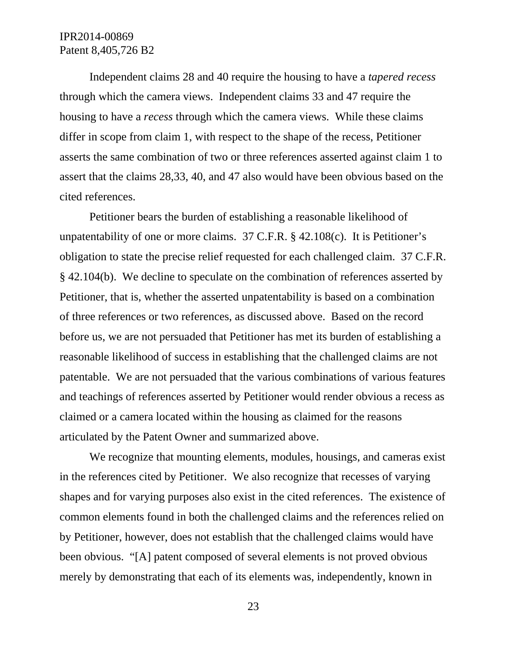Independent claims 28 and 40 require the housing to have a *tapered recess* through which the camera views. Independent claims 33 and 47 require the housing to have a *recess* through which the camera views. While these claims differ in scope from claim 1, with respect to the shape of the recess, Petitioner asserts the same combination of two or three references asserted against claim 1 to assert that the claims 28,33, 40, and 47 also would have been obvious based on the cited references.

Petitioner bears the burden of establishing a reasonable likelihood of unpatentability of one or more claims. 37 C.F.R. § 42.108(c). It is Petitioner's obligation to state the precise relief requested for each challenged claim. 37 C.F.R. § 42.104(b). We decline to speculate on the combination of references asserted by Petitioner, that is, whether the asserted unpatentability is based on a combination of three references or two references, as discussed above. Based on the record before us, we are not persuaded that Petitioner has met its burden of establishing a reasonable likelihood of success in establishing that the challenged claims are not patentable. We are not persuaded that the various combinations of various features and teachings of references asserted by Petitioner would render obvious a recess as claimed or a camera located within the housing as claimed for the reasons articulated by the Patent Owner and summarized above.

We recognize that mounting elements, modules, housings, and cameras exist in the references cited by Petitioner. We also recognize that recesses of varying shapes and for varying purposes also exist in the cited references. The existence of common elements found in both the challenged claims and the references relied on by Petitioner, however, does not establish that the challenged claims would have been obvious. "[A] patent composed of several elements is not proved obvious merely by demonstrating that each of its elements was, independently, known in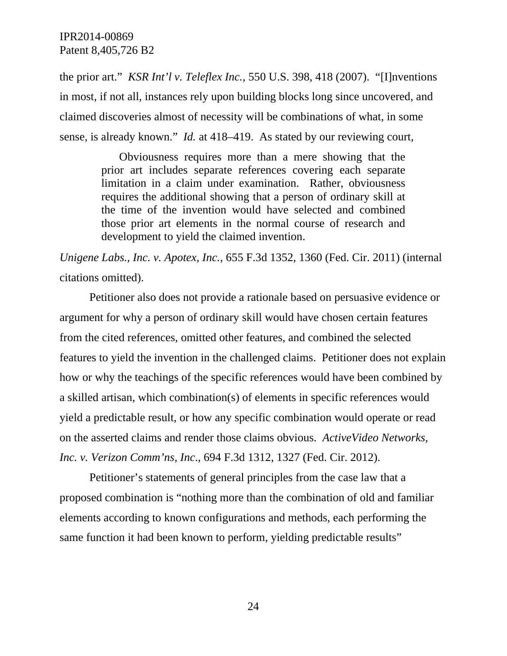the prior art." *KSR Int'l v. Teleflex Inc.*, 550 U.S. 398, 418 (2007). "[I]nventions in most, if not all, instances rely upon building blocks long since uncovered, and claimed discoveries almost of necessity will be combinations of what, in some sense, is already known." *Id.* at 418–419. As stated by our reviewing court,

> Obviousness requires more than a mere showing that the prior art includes separate references covering each separate limitation in a claim under examination. Rather, obviousness requires the additional showing that a person of ordinary skill at the time of the invention would have selected and combined those prior art elements in the normal course of research and development to yield the claimed invention.

*Unigene Labs., Inc. v. Apotex, Inc.*, 655 F.3d 1352, 1360 (Fed. Cir. 2011) (internal citations omitted).

Petitioner also does not provide a rationale based on persuasive evidence or argument for why a person of ordinary skill would have chosen certain features from the cited references, omitted other features, and combined the selected features to yield the invention in the challenged claims. Petitioner does not explain how or why the teachings of the specific references would have been combined by a skilled artisan, which combination(s) of elements in specific references would yield a predictable result, or how any specific combination would operate or read on the asserted claims and render those claims obvious. *ActiveVideo Networks, Inc. v. Verizon Comm'ns, Inc*., 694 F.3d 1312, 1327 (Fed. Cir. 2012).

Petitioner's statements of general principles from the case law that a proposed combination is "nothing more than the combination of old and familiar elements according to known configurations and methods, each performing the same function it had been known to perform, yielding predictable results"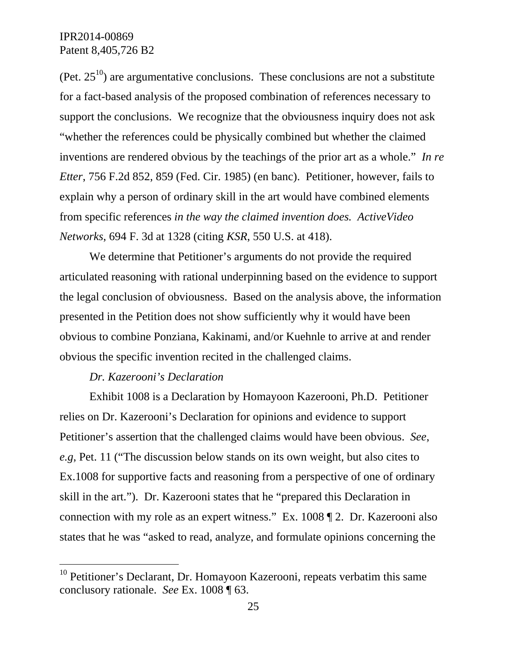(Pet.  $25^{10}$ ) are argumentative conclusions. These conclusions are not a substitute for a fact-based analysis of the proposed combination of references necessary to support the conclusions. We recognize that the obviousness inquiry does not ask "whether the references could be physically combined but whether the claimed inventions are rendered obvious by the teachings of the prior art as a whole." *In re Etter*, 756 F.2d 852, 859 (Fed. Cir. 1985) (en banc). Petitioner, however, fails to explain why a person of ordinary skill in the art would have combined elements from specific references *in the way the claimed invention does. ActiveVideo Networks*, 694 F. 3d at 1328 (citing *KSR*, 550 U.S. at 418).

We determine that Petitioner's arguments do not provide the required articulated reasoning with rational underpinning based on the evidence to support the legal conclusion of obviousness. Based on the analysis above, the information presented in the Petition does not show sufficiently why it would have been obvious to combine Ponziana, Kakinami, and/or Kuehnle to arrive at and render obvious the specific invention recited in the challenged claims.

#### *Dr. Kazerooni's Declaration*

-

Exhibit 1008 is a Declaration by Homayoon Kazerooni, Ph.D. Petitioner relies on Dr. Kazerooni's Declaration for opinions and evidence to support Petitioner's assertion that the challenged claims would have been obvious. *See*, *e.g*, Pet. 11 ("The discussion below stands on its own weight, but also cites to Ex.1008 for supportive facts and reasoning from a perspective of one of ordinary skill in the art."). Dr. Kazerooni states that he "prepared this Declaration in connection with my role as an expert witness." Ex. 1008 ¶ 2. Dr. Kazerooni also states that he was "asked to read, analyze, and formulate opinions concerning the

 $10$  Petitioner's Declarant, Dr. Homayoon Kazerooni, repeats verbatim this same conclusory rationale. *See* Ex. 1008 ¶ 63.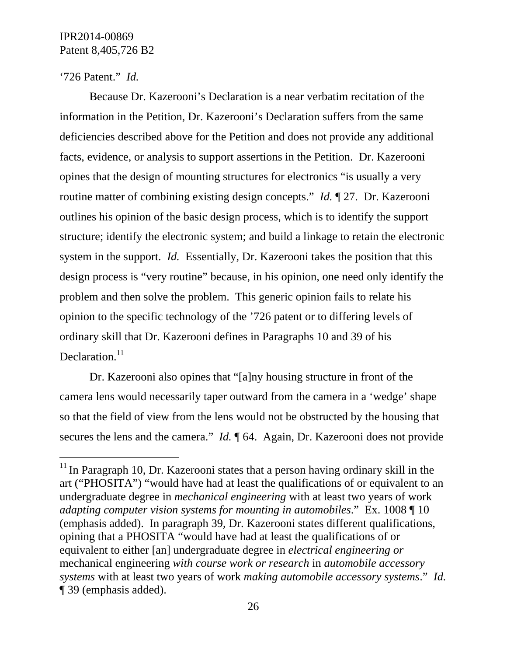### '726 Patent." *Id.*

 $\overline{a}$ 

Because Dr. Kazerooni's Declaration is a near verbatim recitation of the information in the Petition, Dr. Kazerooni's Declaration suffers from the same deficiencies described above for the Petition and does not provide any additional facts, evidence, or analysis to support assertions in the Petition. Dr. Kazerooni opines that the design of mounting structures for electronics "is usually a very routine matter of combining existing design concepts." *Id.* ¶ 27. Dr. Kazerooni outlines his opinion of the basic design process, which is to identify the support structure; identify the electronic system; and build a linkage to retain the electronic system in the support. *Id.* Essentially, Dr. Kazerooni takes the position that this design process is "very routine" because, in his opinion, one need only identify the problem and then solve the problem. This generic opinion fails to relate his opinion to the specific technology of the '726 patent or to differing levels of ordinary skill that Dr. Kazerooni defines in Paragraphs 10 and 39 of his Declaration.<sup>11</sup>

Dr. Kazerooni also opines that "[a]ny housing structure in front of the camera lens would necessarily taper outward from the camera in a 'wedge' shape so that the field of view from the lens would not be obstructed by the housing that secures the lens and the camera." *Id.*  $\parallel$  64. Again, Dr. Kazerooni does not provide

 $11$  In Paragraph 10, Dr. Kazerooni states that a person having ordinary skill in the art ("PHOSITA") "would have had at least the qualifications of or equivalent to an undergraduate degree in *mechanical engineering* with at least two years of work *adapting computer vision systems for mounting in automobiles*." Ex. 1008 ¶ 10 (emphasis added). In paragraph 39, Dr. Kazerooni states different qualifications, opining that a PHOSITA "would have had at least the qualifications of or equivalent to either [an] undergraduate degree in *electrical engineering or* mechanical engineering *with course work or research* in *automobile accessory systems* with at least two years of work *making automobile accessory systems*." *Id.* ¶ 39 (emphasis added).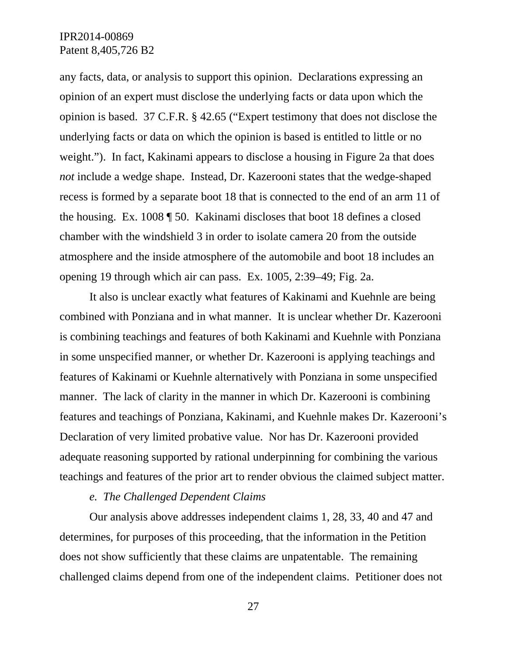any facts, data, or analysis to support this opinion. Declarations expressing an opinion of an expert must disclose the underlying facts or data upon which the opinion is based. 37 C.F.R. § 42.65 ("Expert testimony that does not disclose the underlying facts or data on which the opinion is based is entitled to little or no weight."). In fact, Kakinami appears to disclose a housing in Figure 2a that does *not* include a wedge shape. Instead, Dr. Kazerooni states that the wedge-shaped recess is formed by a separate boot 18 that is connected to the end of an arm 11 of the housing. Ex. 1008 ¶ 50. Kakinami discloses that boot 18 defines a closed chamber with the windshield 3 in order to isolate camera 20 from the outside atmosphere and the inside atmosphere of the automobile and boot 18 includes an opening 19 through which air can pass. Ex. 1005, 2:39–49; Fig. 2a.

It also is unclear exactly what features of Kakinami and Kuehnle are being combined with Ponziana and in what manner. It is unclear whether Dr. Kazerooni is combining teachings and features of both Kakinami and Kuehnle with Ponziana in some unspecified manner, or whether Dr. Kazerooni is applying teachings and features of Kakinami or Kuehnle alternatively with Ponziana in some unspecified manner. The lack of clarity in the manner in which Dr. Kazerooni is combining features and teachings of Ponziana, Kakinami, and Kuehnle makes Dr. Kazerooni's Declaration of very limited probative value. Nor has Dr. Kazerooni provided adequate reasoning supported by rational underpinning for combining the various teachings and features of the prior art to render obvious the claimed subject matter.

#### *e. The Challenged Dependent Claims*

Our analysis above addresses independent claims 1, 28, 33, 40 and 47 and determines, for purposes of this proceeding, that the information in the Petition does not show sufficiently that these claims are unpatentable. The remaining challenged claims depend from one of the independent claims. Petitioner does not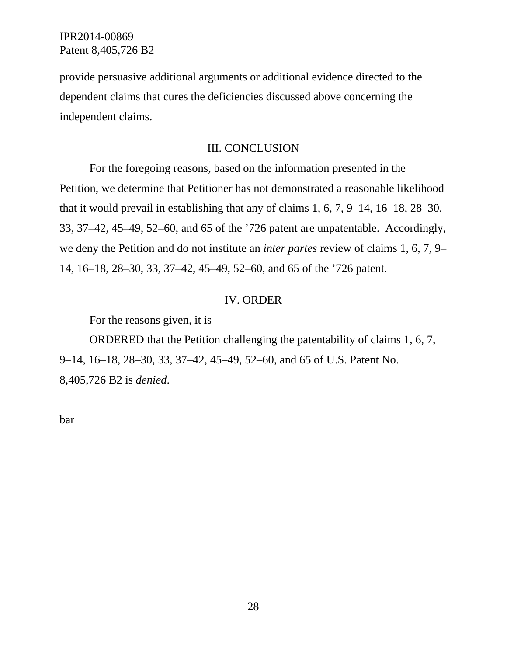provide persuasive additional arguments or additional evidence directed to the dependent claims that cures the deficiencies discussed above concerning the independent claims.

#### III. CONCLUSION

For the foregoing reasons, based on the information presented in the Petition, we determine that Petitioner has not demonstrated a reasonable likelihood that it would prevail in establishing that any of claims 1, 6, 7, 9–14, 16–18, 28–30, 33, 37–42, 45–49, 52–60, and 65 of the '726 patent are unpatentable. Accordingly, we deny the Petition and do not institute an *inter partes* review of claims 1, 6, 7, 9– 14, 16–18, 28–30, 33, 37–42, 45–49, 52–60, and 65 of the '726 patent.

#### IV. ORDER

For the reasons given, it is

ORDERED that the Petition challenging the patentability of claims 1, 6, 7, 9–14, 16–18, 28–30, 33, 37–42, 45–49, 52–60, and 65 of U.S. Patent No. 8,405,726 B2 is *denied*.

bar